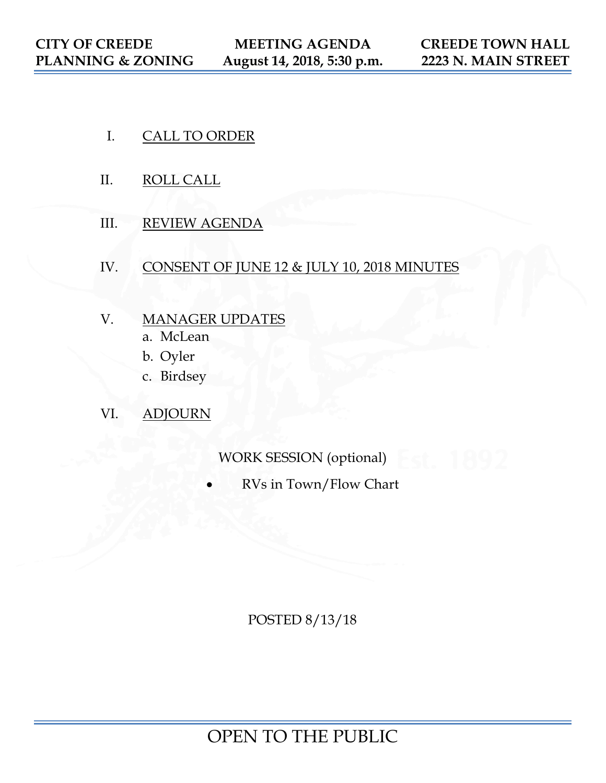- I. CALL TO ORDER
- II. ROLL CALL
- III. REVIEW AGENDA
- IV. CONSENT OF JUNE 12 & JULY 10, 2018 MINUTES
- V. MANAGER UPDATES
	- a. McLean
	- b. Oyler
	- c. Birdsey
- VI. ADJOURN

WORK SESSION (optional)

• RVs in Town/Flow Chart

POSTED 8/13/18

OPEN TO THE PUBLIC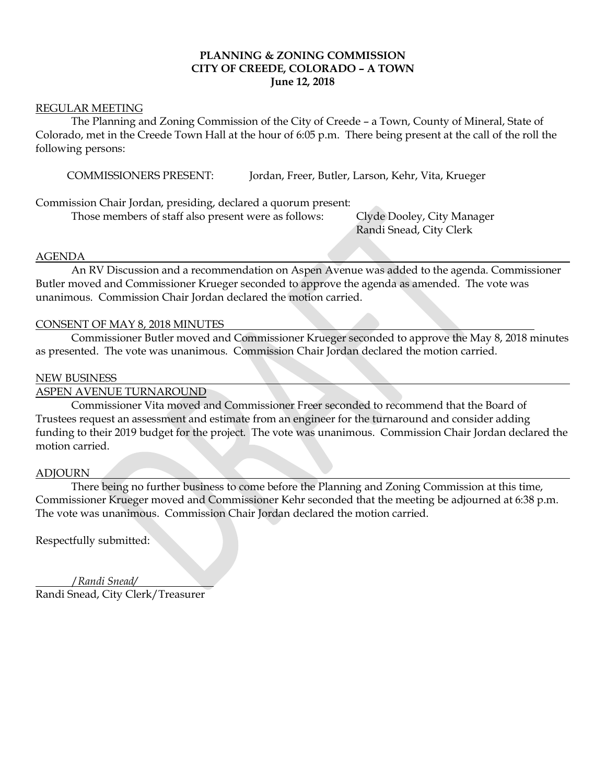# **PLANNING & ZONING COMMISSION CITY OF CREEDE, COLORADO – A TOWN June 12, 2018**

#### REGULAR MEETING

The Planning and Zoning Commission of the City of Creede – a Town, County of Mineral, State of Colorado, met in the Creede Town Hall at the hour of 6:05 p.m. There being present at the call of the roll the following persons:

COMMISSIONERS PRESENT: Jordan, Freer, Butler, Larson, Kehr, Vita, Krueger

Commission Chair Jordan, presiding, declared a quorum present:

Those members of staff also present were as follows: Clyde Dooley, City Manager

Randi Snead, City Clerk

# AGENDA

An RV Discussion and a recommendation on Aspen Avenue was added to the agenda. Commissioner Butler moved and Commissioner Krueger seconded to approve the agenda as amended. The vote was unanimous. Commission Chair Jordan declared the motion carried.

#### CONSENT OF MAY 8, 2018 MINUTES

Commissioner Butler moved and Commissioner Krueger seconded to approve the May 8, 2018 minutes as presented. The vote was unanimous. Commission Chair Jordan declared the motion carried.

#### NEW BUSINESS

# ASPEN AVENUE TURNAROUND

Commissioner Vita moved and Commissioner Freer seconded to recommend that the Board of Trustees request an assessment and estimate from an engineer for the turnaround and consider adding funding to their 2019 budget for the project. The vote was unanimous. Commission Chair Jordan declared the motion carried.

#### ADJOURN

There being no further business to come before the Planning and Zoning Commission at this time, Commissioner Krueger moved and Commissioner Kehr seconded that the meeting be adjourned at 6:38 p.m. The vote was unanimous. Commission Chair Jordan declared the motion carried.

Respectfully submitted:

 /*Randi Snead/* Randi Snead, City Clerk/Treasurer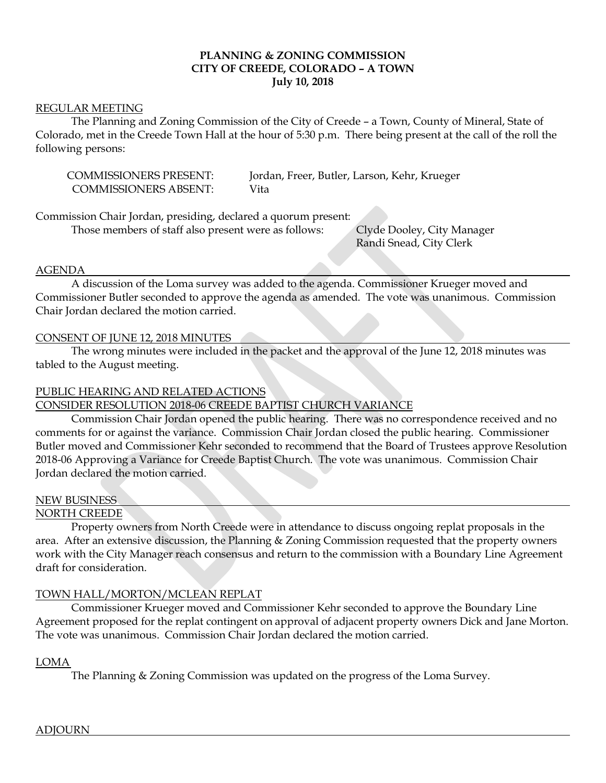# **PLANNING & ZONING COMMISSION CITY OF CREEDE, COLORADO – A TOWN July 10, 2018**

#### REGULAR MEETING

The Planning and Zoning Commission of the City of Creede – a Town, County of Mineral, State of Colorado, met in the Creede Town Hall at the hour of 5:30 p.m. There being present at the call of the roll the following persons:

COMMISSIONERS ABSENT: Vita

COMMISSIONERS PRESENT: Jordan, Freer, Butler, Larson, Kehr, Krueger

Commission Chair Jordan, presiding, declared a quorum present:

Those members of staff also present were as follows: Clyde Dooley, City Manager

Randi Snead, City Clerk

#### AGENDA

 A discussion of the Loma survey was added to the agenda. Commissioner Krueger moved and Commissioner Butler seconded to approve the agenda as amended. The vote was unanimous. Commission Chair Jordan declared the motion carried.

# CONSENT OF JUNE 12, 2018 MINUTES

The wrong minutes were included in the packet and the approval of the June 12, 2018 minutes was tabled to the August meeting.

#### PUBLIC HEARING AND RELATED ACTIONS

# CONSIDER RESOLUTION 2018-06 CREEDE BAPTIST CHURCH VARIANCE

Commission Chair Jordan opened the public hearing. There was no correspondence received and no comments for or against the variance. Commission Chair Jordan closed the public hearing. Commissioner Butler moved and Commissioner Kehr seconded to recommend that the Board of Trustees approve Resolution 2018-06 Approving a Variance for Creede Baptist Church. The vote was unanimous. Commission Chair Jordan declared the motion carried.

# NEW BUSINESS

#### NORTH CREEDE

Property owners from North Creede were in attendance to discuss ongoing replat proposals in the area. After an extensive discussion, the Planning & Zoning Commission requested that the property owners work with the City Manager reach consensus and return to the commission with a Boundary Line Agreement draft for consideration.

# TOWN HALL/MORTON/MCLEAN REPLAT

Commissioner Krueger moved and Commissioner Kehr seconded to approve the Boundary Line Agreement proposed for the replat contingent on approval of adjacent property owners Dick and Jane Morton. The vote was unanimous. Commission Chair Jordan declared the motion carried.

#### LOMA

The Planning & Zoning Commission was updated on the progress of the Loma Survey.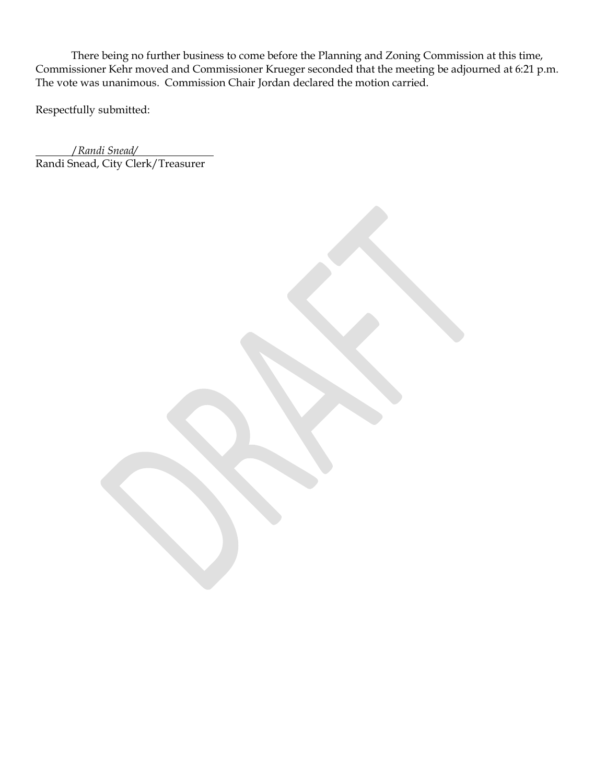There being no further business to come before the Planning and Zoning Commission at this time, Commissioner Kehr moved and Commissioner Krueger seconded that the meeting be adjourned at 6:21 p.m. The vote was unanimous. Commission Chair Jordan declared the motion carried.

Respectfully submitted:

 /*Randi Snead/* Randi Snead, City Clerk/Treasurer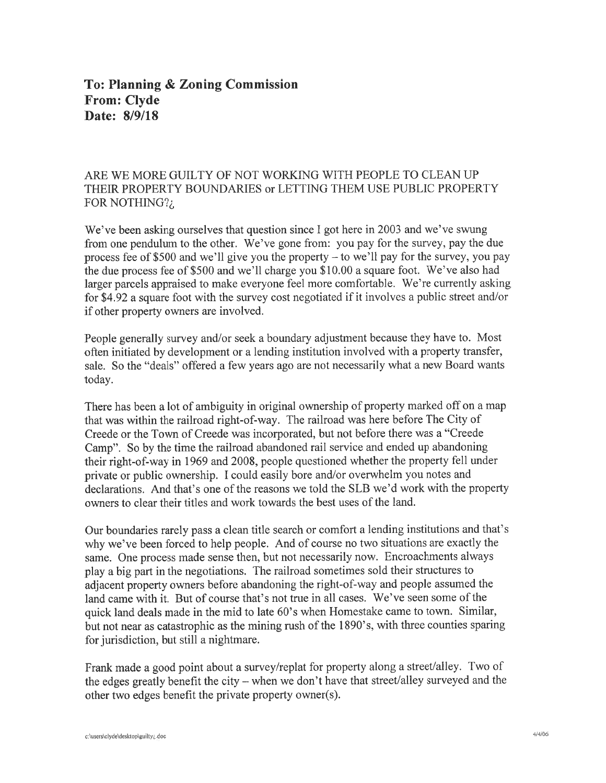# To: Planning & Zoning Commission **From: Clyde** Date: 8/9/18

# ARE WE MORE GUILTY OF NOT WORKING WITH PEOPLE TO CLEAN UP THEIR PROPERTY BOUNDARIES or LETTING THEM USE PUBLIC PROPERTY FOR NOTHING?;

We've been asking ourselves that question since I got here in 2003 and we've swung from one pendulum to the other. We've gone from: you pay for the survey, pay the due process fee of \$500 and we'll give you the property - to we'll pay for the survey, you pay the due process fee of \$500 and we'll charge you \$10.00 a square foot. We've also had larger parcels appraised to make everyone feel more comfortable. We're currently asking for \$4.92 a square foot with the survey cost negotiated if it involves a public street and/or if other property owners are involved.

People generally survey and/or seek a boundary adjustment because they have to. Most often initiated by development or a lending institution involved with a property transfer, sale. So the "deals" offered a few years ago are not necessarily what a new Board wants today.

There has been a lot of ambiguity in original ownership of property marked off on a map that was within the railroad right-of-way. The railroad was here before The City of Creede or the Town of Creede was incorporated, but not before there was a "Creede" Camp". So by the time the railroad abandoned rail service and ended up abandoning their right-of-way in 1969 and 2008, people questioned whether the property fell under private or public ownership. I could easily bore and/or overwhelm you notes and declarations. And that's one of the reasons we told the SLB we'd work with the property owners to clear their titles and work towards the best uses of the land.

Our boundaries rarely pass a clean title search or comfort a lending institutions and that's why we've been forced to help people. And of course no two situations are exactly the same. One process made sense then, but not necessarily now. Encroachments always play a big part in the negotiations. The railroad sometimes sold their structures to adjacent property owners before abandoning the right-of-way and people assumed the land came with it. But of course that's not true in all cases. We've seen some of the quick land deals made in the mid to late 60's when Homestake came to town. Similar, but not near as catastrophic as the mining rush of the 1890's, with three counties sparing for jurisdiction, but still a nightmare.

Frank made a good point about a survey/replat for property along a street/alley. Two of the edges greatly benefit the city - when we don't have that street/alley surveyed and the other two edges benefit the private property owner(s).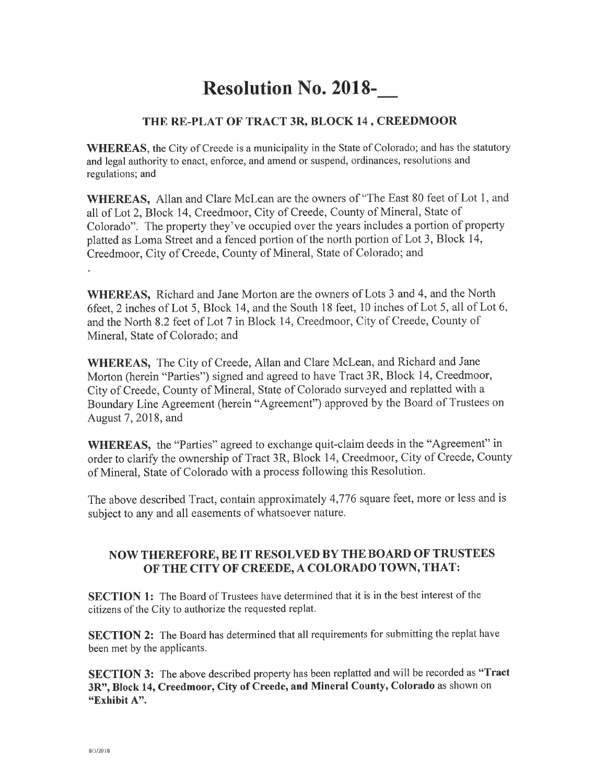# **Resolution No. 2018-**

# THE RE-PLAT OF TRACT 3R, BLOCK 14, CREEDMOOR

**WHEREAS**, the City of Creede is a municipality in the State of Colorado; and has the statutory and legal authority to enact, enforce, and amend or suspend, ordinances, resolutions and regulations; and

**WHEREAS.** Allan and Clare McLean are the owners of "The East 80 feet of Lot 1, and all of Lot 2, Block 14, Creedmoor, City of Creede, County of Mineral, State of Colorado". The property they've occupied over the years includes a portion of property platted as Loma Street and a fenced portion of the north portion of Lot 3, Block 14, Creedmoor, City of Creede, County of Mineral, State of Colorado; and

WHEREAS, Richard and Jane Morton are the owners of Lots 3 and 4, and the North 6feet, 2 inches of Lot 5, Block 14, and the South 18 feet, 10 inches of Lot 5, all of Lot 6, and the North 8.2 feet of Lot 7 in Block 14, Creedmoor, City of Creede, County of Mineral, State of Colorado; and

WHEREAS, The City of Creede, Allan and Clare McLean, and Richard and Jane Morton (herein "Parties") signed and agreed to have Tract 3R, Block 14, Creedmoor, City of Creede, County of Mineral, State of Colorado surveyed and replatted with a Boundary Line Agreement (herein "Agreement") approved by the Board of Trustees on August 7, 2018, and

**WHEREAS**, the "Parties" agreed to exchange quit-claim deeds in the "Agreement" in order to clarify the ownership of Tract 3R, Block 14, Creedmoor, City of Creede, County of Mineral, State of Colorado with a process following this Resolution.

The above described Tract, contain approximately 4,776 square feet, more or less and is subject to any and all easements of whatsoever nature.

# NOW THEREFORE, BE IT RESOLVED BY THE BOARD OF TRUSTEES OF THE CITY OF CREEDE, A COLORADO TOWN, THAT:

**SECTION 1:** The Board of Trustees have determined that it is in the best interest of the citizens of the City to authorize the requested replat.

SECTION 2: The Board has determined that all requirements for submitting the replat have been met by the applicants.

SECTION 3: The above described property has been replatted and will be recorded as "Tract 3R", Block 14, Creedmoor, City of Creede, and Mineral County, Colorado as shown on "Exhibit A".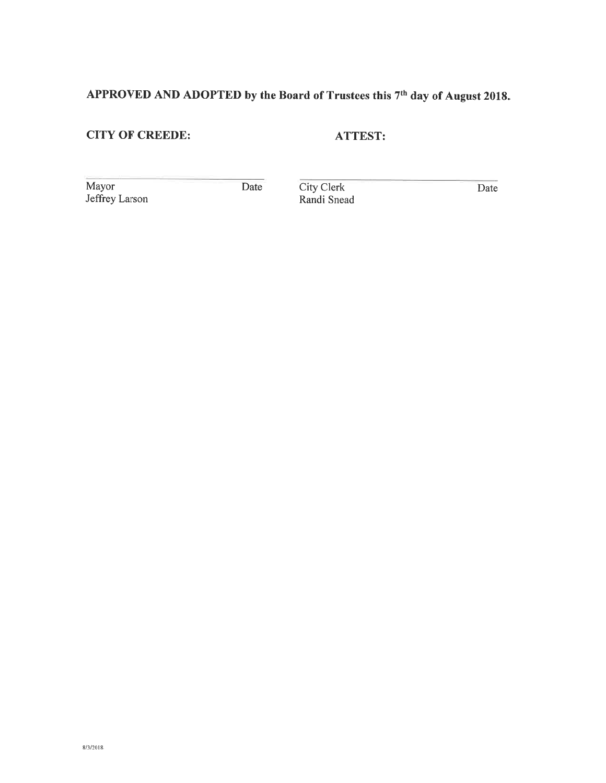# APPROVED AND ADOPTED by the Board of Trustees this 7<sup>th</sup> day of August 2018.

# **CITY OF CREEDE:**

**ATTEST:** 

Mayor Jeffrey Larson

Date

City Clerk<br>Randi Snead

Date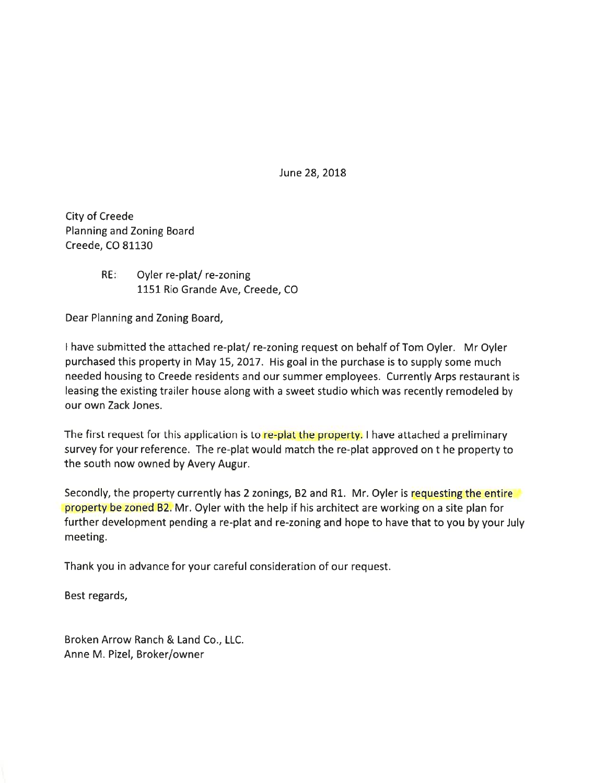June 28, 2018

**City of Creede** Planning and Zoning Board Creede, CO 81130

> **RE** Oyler re-plat/re-zoning 1151 Rio Grande Ave, Creede, CO

Dear Planning and Zoning Board,

I have submitted the attached re-plat/re-zoning request on behalf of Tom Oyler. Mr Oyler purchased this property in May 15, 2017. His goal in the purchase is to supply some much needed housing to Creede residents and our summer employees. Currently Arps restaurant is leasing the existing trailer house along with a sweet studio which was recently remodeled by our own Zack Jones.

The first request for this application is to re-plat the property. I have attached a preliminary survey for your reference. The re-plat would match the re-plat approved on t he property to the south now owned by Avery Augur.

Secondly, the property currently has 2 zonings, B2 and R1. Mr. Oyler is requesting the entire property be zoned B2. Mr. Oyler with the help if his architect are working on a site plan for further development pending a re-plat and re-zoning and hope to have that to you by your July meeting.

Thank you in advance for your careful consideration of our request.

Best regards,

Broken Arrow Ranch & Land Co., LLC. Anne M. Pizel, Broker/owner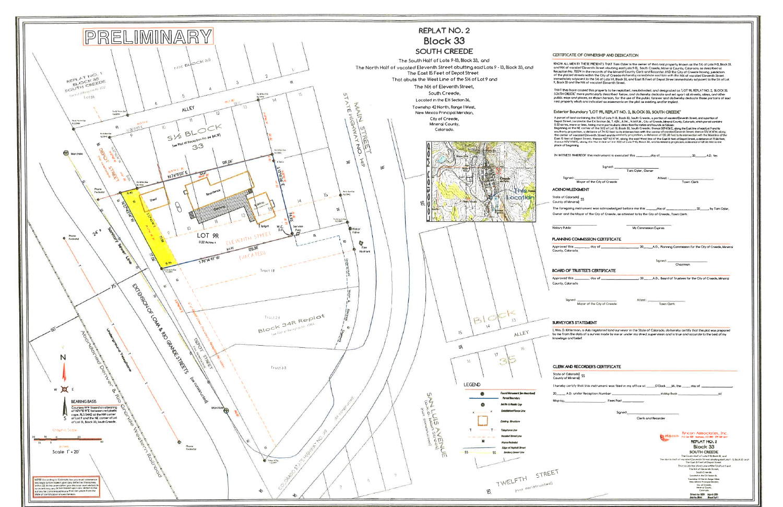

| E OF OWNERSHIP AND DEDICATION                                                                                                                                                                                                                                                                                                  |
|--------------------------------------------------------------------------------------------------------------------------------------------------------------------------------------------------------------------------------------------------------------------------------------------------------------------------------|
| 4 BY THESE PRESENTS THAT Tom Oyler is the owner of that real property known as the 5½ of Lols 9-13, Block 33,<br>aled Eleventh Street abutting said Lots 9-13, South Creede, Mineral County, Colorado, as described at                                                                                                         |
| 0374 in the records of the Mineral County Clerk and Recorder AND the City of Creede having jusidiction<br>streets within the City of Creede da hereby consolidate said lats with the N½ of vocated Eleventh Street                                                                                                             |
| Jjacent to the SK of Lots 1-9, Block 33, and East 15 Feet of Depot Street immediately adjacent to the SK of Lot<br>the N16 of vocated Eleventh Street.                                                                                                                                                                         |
| e caused this property to be replatted, resubdivided, and designated as `LOT 9R, REPLAT NO. 2, `BLOCK 33,                                                                                                                                                                                                                      |
| more particularly described (below, and do hereby dedicate and set apart all streets, alleys, and other "<br>id places, as shown hereon, for the use of the public forever and do hereby dedicate those portions of said                                                                                                       |
| which are indicated as easements on the plat as existing and/or implied.                                                                                                                                                                                                                                                       |
| undary 1.0T 9R, REPLAT NO. 2, BLOCK 33, SOUTH CREEDE"                                                                                                                                                                                                                                                                          |
| d containing the SI/2 of Lots 9-13, Block 33, South Creede, a portian of vacated Eleventh Streel, and a portian of                                                                                                                                                                                                             |
| coted in the EX Section 36, T.42N,, R.IW., N.M.P.M., City of Creede, Mineral County, Calorado, which parcel contains<br>e or less, being more particularly described by metes and bounds as fallows:<br>e NE corner of the 51/2 of Lot 13, Block 33, South Creede; thence SIF4T36'E, along the East line of said Lot 9 and its |
| ction, a distance of 74,93 feet to its intersection with the center of vacated Eleventh Street; thence 576744TW, along<br>acated Eleventh Street and its westerly projection, a distance of 120,38 feet to its intersection with the Westline of the                                                                           |
| Depot Street; thence N27°43'41"W, along the said West line of the East 15 feet of Depot Street, a distance of 77.06 feet;<br>l'E, along the North line of the SI/2 of Lots 9-13, Block 33, and its westerly projection, a distance of 139.06 feet to the                                                                       |
| ing.                                                                                                                                                                                                                                                                                                                           |
|                                                                                                                                                                                                                                                                                                                                |
|                                                                                                                                                                                                                                                                                                                                |
| Signed:<br>Tam Oyler, Owner                                                                                                                                                                                                                                                                                                    |
| Attest :                                                                                                                                                                                                                                                                                                                       |
| Town Clerk<br>Moyor of the City of Creede                                                                                                                                                                                                                                                                                      |
| <b>COMENT</b>                                                                                                                                                                                                                                                                                                                  |
| do) <sub>SS</sub>                                                                                                                                                                                                                                                                                                              |
| ral)<br>instrument was acknowledged before me this ______day of _________________________________by Tam Oyler,                                                                                                                                                                                                                 |
| Mayor of the City of Creede, as attested to by the City of Creede, Town Clerk.                                                                                                                                                                                                                                                 |
|                                                                                                                                                                                                                                                                                                                                |
| My Commission Expires                                                                                                                                                                                                                                                                                                          |
|                                                                                                                                                                                                                                                                                                                                |
| <b>OMMISSION CERTIFICATE</b>                                                                                                                                                                                                                                                                                                   |
| do.                                                                                                                                                                                                                                                                                                                            |
|                                                                                                                                                                                                                                                                                                                                |
| Signed:<br>Chairman                                                                                                                                                                                                                                                                                                            |
| RUSTEE'S CERTIFICATE                                                                                                                                                                                                                                                                                                           |
|                                                                                                                                                                                                                                                                                                                                |
| do                                                                                                                                                                                                                                                                                                                             |
|                                                                                                                                                                                                                                                                                                                                |
| ٠.<br>Attest:<br>Town Clerk<br>Mayor of the City of Creede                                                                                                                                                                                                                                                                     |
|                                                                                                                                                                                                                                                                                                                                |
|                                                                                                                                                                                                                                                                                                                                |
| <b>STATEMENT</b>                                                                                                                                                                                                                                                                                                               |
| nan, a duly registered land surveyor in the State of Colorado, do hereby certify that this plat was prepared<br>data of a survey made by me or under my direct supervision and is true and accurate to the best of my                                                                                                          |
| belief.                                                                                                                                                                                                                                                                                                                        |
|                                                                                                                                                                                                                                                                                                                                |
|                                                                                                                                                                                                                                                                                                                                |
|                                                                                                                                                                                                                                                                                                                                |
| <b>RECORDER'S CERTIFICATE</b>                                                                                                                                                                                                                                                                                                  |
| $\frac{1}{55}$<br>roll                                                                                                                                                                                                                                                                                                         |
| y that this instrument was filed in my office at _____O'Clock ___M., this _____ day of __                                                                                                                                                                                                                                      |
| inder Reception Number _<br>_iri Mao Baok __<br>ot                                                                                                                                                                                                                                                                             |
| Fees Pard _______                                                                                                                                                                                                                                                                                                              |
|                                                                                                                                                                                                                                                                                                                                |
| Signed.                                                                                                                                                                                                                                                                                                                        |
| Clerk and Recorder                                                                                                                                                                                                                                                                                                             |
|                                                                                                                                                                                                                                                                                                                                |
| Rincon Associates, Inc.<br><b>IDCOD</b> FO Bor R2E Alamana, CO BRI (79) BF 644                                                                                                                                                                                                                                                 |
| <b>REPLAT NO. 2</b>                                                                                                                                                                                                                                                                                                            |
| Block 33<br><b>SOUTH CREEDE</b>                                                                                                                                                                                                                                                                                                |
|                                                                                                                                                                                                                                                                                                                                |
| The South Half of Lots 9-B, Block 33, and                                                                                                                                                                                                                                                                                      |
| The North Half of vacated Eleventh Street abulting said Lots 9 - 13 Book 30 and<br>The East 5 Feet of Depot Street                                                                                                                                                                                                             |
| That obats the West Line at the Thof Lot Ford<br>The NS of Eleversh Street.<br>South Creede,                                                                                                                                                                                                                                   |
| Locoled in the ER Sedicn M.<br>Township 42 Nor th. Range I West,                                                                                                                                                                                                                                                               |
| New Mexico Presspal Meridan,<br>City of Creede,                                                                                                                                                                                                                                                                                |
| Minimal County<br>Colorado<br>Dream by: IBDK - March 200<br>blo.Bit Peetlo!!                                                                                                                                                                                                                                                   |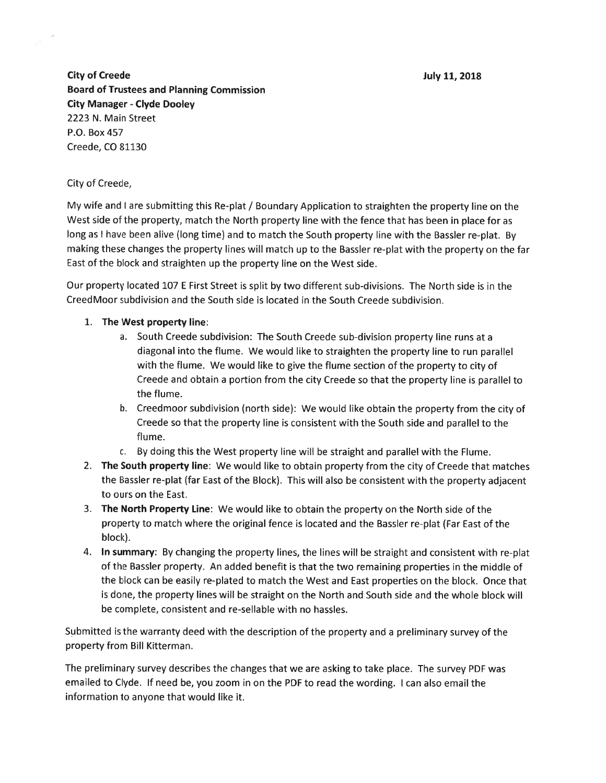July 11, 2018

**City of Creede Board of Trustees and Planning Commission City Manager - Clyde Dooley** 2223 N. Main Street P.O. Box 457 Creede, CO 81130

#### City of Creede,

My wife and I are submitting this Re-plat / Boundary Application to straighten the property line on the West side of the property, match the North property line with the fence that has been in place for as long as I have been alive (long time) and to match the South property line with the Bassler re-plat. By making these changes the property lines will match up to the Bassler re-plat with the property on the far East of the block and straighten up the property line on the West side.

Our property located 107 E First Street is split by two different sub-divisions. The North side is in the CreedMoor subdivision and the South side is located in the South Creede subdivision.

- 1. The West property line:
	- a. South Creede subdivision: The South Creede sub-division property line runs at a diagonal into the flume. We would like to straighten the property line to run parallel with the flume. We would like to give the flume section of the property to city of Creede and obtain a portion from the city Creede so that the property line is parallel to the flume.
	- b. Creedmoor subdivision (north side): We would like obtain the property from the city of Creede so that the property line is consistent with the South side and parallel to the flume.
	- c. By doing this the West property line will be straight and parallel with the Flume.
- 2. The South property line: We would like to obtain property from the city of Creede that matches the Bassler re-plat (far East of the Block). This will also be consistent with the property adjacent to ours on the East.
- 3. The North Property Line: We would like to obtain the property on the North side of the property to match where the original fence is located and the Bassler re-plat (Far East of the block).
- 4. In summary: By changing the property lines, the lines will be straight and consistent with re-plat of the Bassler property. An added benefit is that the two remaining properties in the middle of the block can be easily re-plated to match the West and East properties on the block. Once that is done, the property lines will be straight on the North and South side and the whole block will be complete, consistent and re-sellable with no hassles.

Submitted is the warranty deed with the description of the property and a preliminary survey of the property from Bill Kitterman.

The preliminary survey describes the changes that we are asking to take place. The survey PDF was emailed to Clyde. If need be, you zoom in on the PDF to read the wording. I can also email the information to anyone that would like it.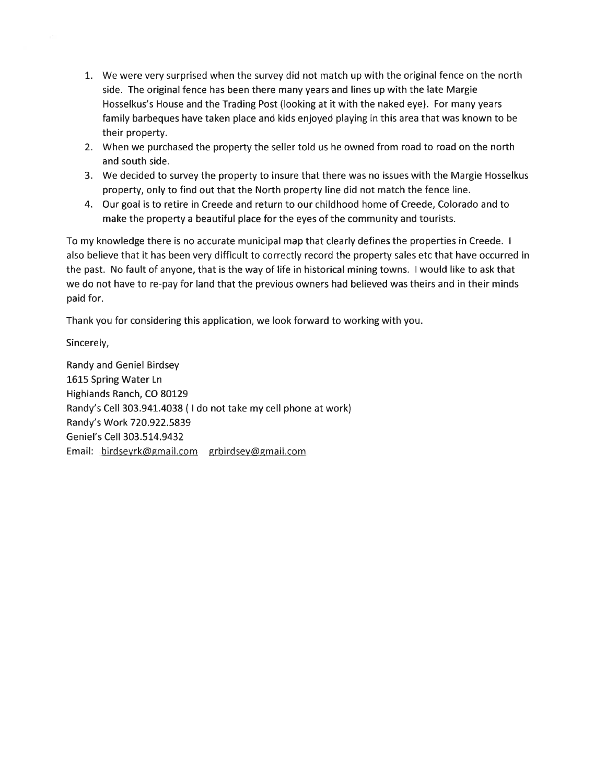- 1. We were very surprised when the survey did not match up with the original fence on the north side. The original fence has been there many years and lines up with the late Margie Hosselkus's House and the Trading Post (looking at it with the naked eye). For many years family barbeques have taken place and kids enjoyed playing in this area that was known to be their property.
- 2. When we purchased the property the seller told us he owned from road to road on the north and south side.
- 3. We decided to survey the property to insure that there was no issues with the Margie Hosselkus property, only to find out that the North property line did not match the fence line.
- 4. Our goal is to retire in Creede and return to our childhood home of Creede, Colorado and to make the property a beautiful place for the eyes of the community and tourists.

To my knowledge there is no accurate municipal map that clearly defines the properties in Creede. I also believe that it has been very difficult to correctly record the property sales etc that have occurred in the past. No fault of anyone, that is the way of life in historical mining towns. I would like to ask that we do not have to re-pay for land that the previous owners had believed was theirs and in their minds paid for.

Thank you for considering this application, we look forward to working with you.

Sincerely,

**Randy and Geniel Birdsey** 1615 Spring Water Ln Highlands Ranch, CO 80129 Randy's Cell 303.941.4038 (I do not take my cell phone at work) Randy's Work 720.922.5839 Geniel's Cell 303.514.9432 Email: birdseyrk@gmail.com grbirdsey@gmail.com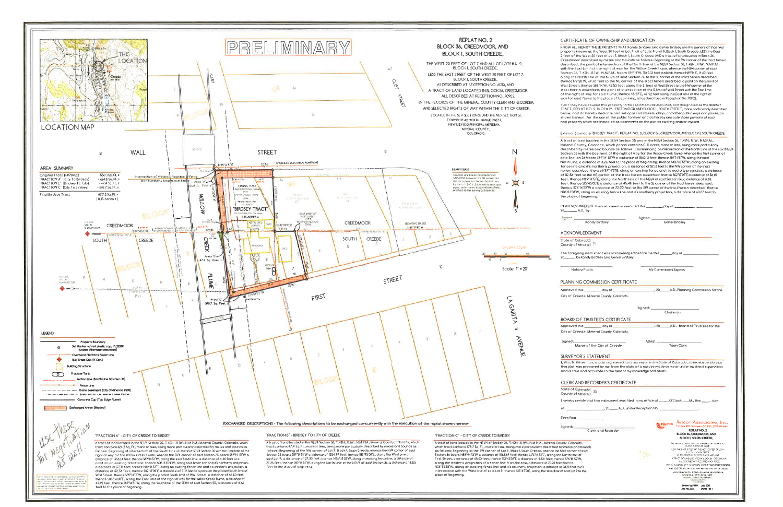

o distance of 52.56 feet; thence NBP/451°, along an existing fence line and it's westerly projection, a<br>distance of 52.56 feet; thence NBP/451°, along an existing fence line and it's westerly projection, a<br>distance of 52.5 thence 505°36'08'E, along the East limit of the right of way for the Wilow Creek flume, a distance of 49.92 feet; thence 505°36'08'E, along the East limit of the right of way for the Wilow Creek flume, a distance of 4.66 feet to the place of beginning.

| ICATE OF OWNERSHIP AND DEDICATION                                                                                                                                                                                                                                                                                                                                                                                                                                                                                                                                                                                                                                                                                                                                                                                                                                                                                                                                                                                                                                                                                                                                                                                                                                                             |  |
|-----------------------------------------------------------------------------------------------------------------------------------------------------------------------------------------------------------------------------------------------------------------------------------------------------------------------------------------------------------------------------------------------------------------------------------------------------------------------------------------------------------------------------------------------------------------------------------------------------------------------------------------------------------------------------------------------------------------------------------------------------------------------------------------------------------------------------------------------------------------------------------------------------------------------------------------------------------------------------------------------------------------------------------------------------------------------------------------------------------------------------------------------------------------------------------------------------------------------------------------------------------------------------------------------|--|
| L MEN BY THESE PRESENTS THAT Rondy Birdsey and Geniel Birdsey ore the owners of that real<br>known as the West 20 feet of Lot 7, all of Lots 8 and 9, Block 1, South Creede, LESS the East<br>the West 20 feet of Lot 7, Block 1, South Creede, AND a tract of land located in Block 36,<br>or described by metes and bounds as follows: Beainning at the SW corner of the troct herein<br>d, the point of intersection of the North line of the NEI/4 Section 36, T.42N., R.IW., N.M.P.M., .<br>[ost Limit of the right of way for the Willow Creek Flume, whence the N1/4 corner of said                                                                                                                                                                                                                                                                                                                                                                                                                                                                                                                                                                                                                                                                                                    |  |
| 6, T.42N., R.IW., N.M.P.M., beors S89°14'W, 1563.13 feel oistont; thence N89°14'E, 14.63 feel<br>Morth line of the NE1/4 of said Section 36 to the SE corner of the tract herein described;<br>2°20′W, 49,76 feet to the NE corner of the tract herein described, a point on the S, limit of<br>et; thence S69°14′W, 46.53 feet along the S. limit of Wall Street to the NW corner of the<br>ein described, the point of intersection of the S limit of Wall Street with the East limit<br>ht of way for saio flume; thence S5°37'E, 49,92 feet along the East limit of the right of<br>aid flume to the place of beginning, all as described in Reception No. 70902.                                                                                                                                                                                                                                                                                                                                                                                                                                                                                                                                                                                                                         |  |
| y have coused this property to be replatted, resubdivided, and designated as the BIRDSEY<br>EPLAT NO. 2, BLOCK 36, CREEDMOOR AND BLOCK 1, SOUTH CREEDE", more porticularly described<br>id da hereby dedicate and set apart all streets, alleys, and other public ways and places, as<br>rean, for the use of the public forever and do hereby dedicate those portions of said<br>erty which are indicaled as easements on the plat as existing and/or implied.                                                                                                                                                                                                                                                                                                                                                                                                                                                                                                                                                                                                                                                                                                                                                                                                                               |  |
| oundory "BIRDSEY TRACT", REPLAT NO. 2, BLOCK 36, CREEDMOOR, AND BLOCK 1, SOUTH CREEDE!                                                                                                                                                                                                                                                                                                                                                                                                                                                                                                                                                                                                                                                                                                                                                                                                                                                                                                                                                                                                                                                                                                                                                                                                        |  |
| f tand located in the SE1/4 Section 25 and in the NE1/4 Section 36, T.42N., R.I.W., N.M.P.M.,<br>county, Colorado, which parcel contains 0.15 acres, more or less, being more particularly.<br>d by metes and bounds as follows: Commencing at intersection of the North Line of the said NEI/4<br>ć with the Eost limit of the right of way for the Willow Creek flume, whence the Ni/4 corner of<br>ron 36 bears 585°14′ 51″W a distance of 1565.13 feet; thence 585°14′51″W, along the said<br>e, a distance of 4.66 feet to the place of beginning; thence N06°33′58″W, along on existing<br>e and it's northerly projection, a distance of 57.16 feet to the NW corner of the tract<br>scribed; thence NESF14'51"E, clong on existing fence and it's westerly projection, a distance<br>eet to the NE corner of the tract herein described; thence S0299'09"E a distance of 56,89.<br>nce NE9°14′51°E, along the North line of the NE1/4 of said Section 36, a distance of 17.96<br>nce 515°45′08″E a distance of 45.48 feet to the SE corner of the tract herein described;<br>%"14'52"W a distance of 72,20 feet to the SW corner of the tracl herein described; thence<br>W, along an existing fence line and it's southerly projection, a distance of 60.87 feet to<br>of beginning. |  |
| SS WHEREOF this instrument is executed this ____________day of _________                                                                                                                                                                                                                                                                                                                                                                                                                                                                                                                                                                                                                                                                                                                                                                                                                                                                                                                                                                                                                                                                                                                                                                                                                      |  |
| , A.D. bγ:                                                                                                                                                                                                                                                                                                                                                                                                                                                                                                                                                                                                                                                                                                                                                                                                                                                                                                                                                                                                                                                                                                                                                                                                                                                                                    |  |
| Signed: __<br><b>Geniel Birdsey</b><br>Randy Birdsey                                                                                                                                                                                                                                                                                                                                                                                                                                                                                                                                                                                                                                                                                                                                                                                                                                                                                                                                                                                                                                                                                                                                                                                                                                          |  |
| WLEDGMENT                                                                                                                                                                                                                                                                                                                                                                                                                                                                                                                                                                                                                                                                                                                                                                                                                                                                                                                                                                                                                                                                                                                                                                                                                                                                                     |  |
| [olorado]<br>SS<br>f Mıneral)                                                                                                                                                                                                                                                                                                                                                                                                                                                                                                                                                                                                                                                                                                                                                                                                                                                                                                                                                                                                                                                                                                                                                                                                                                                                 |  |
| going instrument was acknowledged before me this _______day of _<br>by Randy Birdsey and Geniel Birdsey.                                                                                                                                                                                                                                                                                                                                                                                                                                                                                                                                                                                                                                                                                                                                                                                                                                                                                                                                                                                                                                                                                                                                                                                      |  |
| tary Public<br>My Commission Expires                                                                                                                                                                                                                                                                                                                                                                                                                                                                                                                                                                                                                                                                                                                                                                                                                                                                                                                                                                                                                                                                                                                                                                                                                                                          |  |
| NG COMMISSION CERTIFICATE                                                                                                                                                                                                                                                                                                                                                                                                                                                                                                                                                                                                                                                                                                                                                                                                                                                                                                                                                                                                                                                                                                                                                                                                                                                                     |  |
| __, 20_________A.D.,Planning Commission for the<br>this _<br>_______ day of _                                                                                                                                                                                                                                                                                                                                                                                                                                                                                                                                                                                                                                                                                                                                                                                                                                                                                                                                                                                                                                                                                                                                                                                                                 |  |
| reede, Mineral County, Colorado.                                                                                                                                                                                                                                                                                                                                                                                                                                                                                                                                                                                                                                                                                                                                                                                                                                                                                                                                                                                                                                                                                                                                                                                                                                                              |  |
|                                                                                                                                                                                                                                                                                                                                                                                                                                                                                                                                                                                                                                                                                                                                                                                                                                                                                                                                                                                                                                                                                                                                                                                                                                                                                               |  |
| Signed: ____<br>Chairmar                                                                                                                                                                                                                                                                                                                                                                                                                                                                                                                                                                                                                                                                                                                                                                                                                                                                                                                                                                                                                                                                                                                                                                                                                                                                      |  |
| OF TRUSTEE'S CERTIFICATE                                                                                                                                                                                                                                                                                                                                                                                                                                                                                                                                                                                                                                                                                                                                                                                                                                                                                                                                                                                                                                                                                                                                                                                                                                                                      |  |
| this.<br>: 20<br>A.D., Board of Trustees for the<br>_ day of _<br>reede, Mineral County, Colorado.                                                                                                                                                                                                                                                                                                                                                                                                                                                                                                                                                                                                                                                                                                                                                                                                                                                                                                                                                                                                                                                                                                                                                                                            |  |
| Attest:<br>Mayor of the City of Creede<br>Town Clerk                                                                                                                                                                                                                                                                                                                                                                                                                                                                                                                                                                                                                                                                                                                                                                                                                                                                                                                                                                                                                                                                                                                                                                                                                                          |  |
| 'OR'S STATEMENT                                                                                                                                                                                                                                                                                                                                                                                                                                                                                                                                                                                                                                                                                                                                                                                                                                                                                                                                                                                                                                                                                                                                                                                                                                                                               |  |
| Kitterman, a duly registered land surveyor in the State of Colorado, do hereby certify that<br>was prepared by me-from the data of a survey made by me or under my direct supervision.<br>ue and accurate to the best of my knowledge and belief,                                                                                                                                                                                                                                                                                                                                                                                                                                                                                                                                                                                                                                                                                                                                                                                                                                                                                                                                                                                                                                             |  |
| AND RECORDER'S CERTIFICATE                                                                                                                                                                                                                                                                                                                                                                                                                                                                                                                                                                                                                                                                                                                                                                                                                                                                                                                                                                                                                                                                                                                                                                                                                                                                    |  |
| Colorcido)<br>SS<br>f Mineral)                                                                                                                                                                                                                                                                                                                                                                                                                                                                                                                                                                                                                                                                                                                                                                                                                                                                                                                                                                                                                                                                                                                                                                                                                                                                |  |
| :ertify that this instrument was filed in my office at _____O'Clock ____M., this _<br>– dav                                                                                                                                                                                                                                                                                                                                                                                                                                                                                                                                                                                                                                                                                                                                                                                                                                                                                                                                                                                                                                                                                                                                                                                                   |  |
| __ 20______ A.D. under Reception No. __                                                                                                                                                                                                                                                                                                                                                                                                                                                                                                                                                                                                                                                                                                                                                                                                                                                                                                                                                                                                                                                                                                                                                                                                                                                       |  |
|                                                                                                                                                                                                                                                                                                                                                                                                                                                                                                                                                                                                                                                                                                                                                                                                                                                                                                                                                                                                                                                                                                                                                                                                                                                                                               |  |
| Kincon Associates, Inc.                                                                                                                                                                                                                                                                                                                                                                                                                                                                                                                                                                                                                                                                                                                                                                                                                                                                                                                                                                                                                                                                                                                                                                                                                                                                       |  |
| rincon<br>P.O. Bax 1025. Alamoea, CO 8101. [79] 589-1644<br>REPLATINO <sub>2</sub><br>Clerk and Recorder<br>BLOCK 36, CREEDMOOR, AND                                                                                                                                                                                                                                                                                                                                                                                                                                                                                                                                                                                                                                                                                                                                                                                                                                                                                                                                                                                                                                                                                                                                                          |  |
| BLOCK 1, SOUTH CREEDE,<br>ado.                                                                                                                                                                                                                                                                                                                                                                                                                                                                                                                                                                                                                                                                                                                                                                                                                                                                                                                                                                                                                                                                                                                                                                                                                                                                |  |
| THE WEST 23 FEET OF LOT 7 AND ALL OF LOTS \$ & P.<br>BLOCK IN SOUTH CREEDE<br>nd bounds<br>LESS THE EAST 2 FEET OF THE WEST 20 FEET OF LOT ?                                                                                                                                                                                                                                                                                                                                                                                                                                                                                                                                                                                                                                                                                                                                                                                                                                                                                                                                                                                                                                                                                                                                                  |  |
| r of said<br>BLOCK II, SOUTH OREDE<br>惊<br>ıt of<br>OW ZISLE CIVICTITY TA CERESSER                                                                                                                                                                                                                                                                                                                                                                                                                                                                                                                                                                                                                                                                                                                                                                                                                                                                                                                                                                                                                                                                                                                                                                                                            |  |
| SCONDED WISCHIEFING WOULDN'T OF TAFFI<br>2 W.<br>ALL DESCRIBED AT RECEPTIONING VORD.                                                                                                                                                                                                                                                                                                                                                                                                                                                                                                                                                                                                                                                                                                                                                                                                                                                                                                                                                                                                                                                                                                                                                                                                          |  |
| IN THE RECORDS OF THE MINERAL COULITY QUAKING RECORDER<br>: to it's<br>AND SELECTED RIGHTS OF WAY WITHIN THE OTY OF CREDE<br>9 to the<br>LOCATED IN THE SIX SICTION 25 NHS THE NEX SECTION 35                                                                                                                                                                                                                                                                                                                                                                                                                                                                                                                                                                                                                                                                                                                                                                                                                                                                                                                                                                                                                                                                                                 |  |
| FOW CHP C NOFTH RANZ I WE'LL<br><b>NAME OF STREET</b><br><b>CHARLES</b><br>MEEN COUNTY                                                                                                                                                                                                                                                                                                                                                                                                                                                                                                                                                                                                                                                                                                                                                                                                                                                                                                                                                                                                                                                                                                                                                                                                        |  |
| 0.0800<br>Drown by: WDK July 2018<br>Job No. 3336<br>Sheet Tof I                                                                                                                                                                                                                                                                                                                                                                                                                                                                                                                                                                                                                                                                                                                                                                                                                                                                                                                                                                                                                                                                                                                                                                                                                              |  |